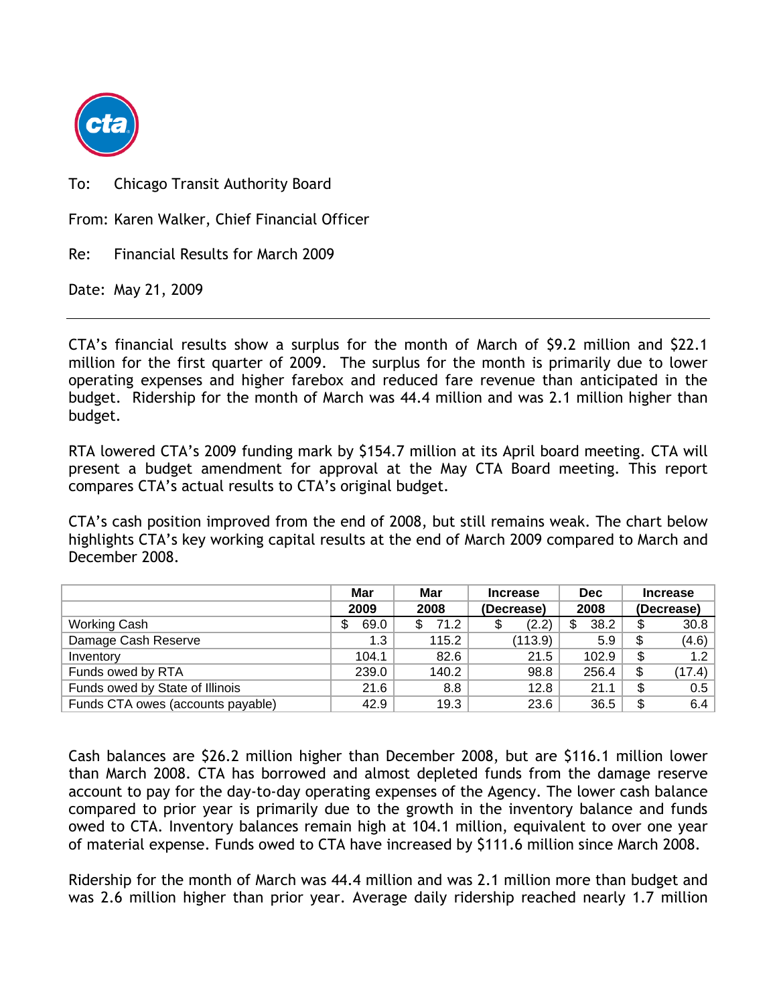

To: Chicago Transit Authority Board

From: Karen Walker, Chief Financial Officer

Re: Financial Results for March 2009

Date: May 21, 2009

CTA's financial results show a surplus for the month of March of \$9.2 million and \$22.1 million for the first quarter of 2009. The surplus for the month is primarily due to lower operating expenses and higher farebox and reduced fare revenue than anticipated in the budget. Ridership for the month of March was 44.4 million and was 2.1 million higher than budget.

RTA lowered CTA's 2009 funding mark by \$154.7 million at its April board meeting. CTA will present a budget amendment for approval at the May CTA Board meeting. This report compares CTA's actual results to CTA's original budget.

CTA's cash position improved from the end of 2008, but still remains weak. The chart below highlights CTA's key working capital results at the end of March 2009 compared to March and December 2008.

|                                   | Mar       | Mar   | <b>Dec</b><br><b>Increase</b> |            | <b>Increase</b> |        |
|-----------------------------------|-----------|-------|-------------------------------|------------|-----------------|--------|
|                                   | 2009      | 2008  | (Decrease)                    | 2008       | (Decrease)      |        |
| <b>Working Cash</b>               | 69.0<br>S | 71.2  | (2.2)                         | 38.2<br>\$ | \$              | 30.8   |
| Damage Cash Reserve               | 1.3       | 115.2 | (113.9)                       | 5.9        | \$              | (4.6)  |
| Inventory                         | 104.1     | 82.6  | 21.5                          | 102.9      | \$              | 1.2    |
| Funds owed by RTA                 | 239.0     | 140.2 | 98.8                          | 256.4      | \$              | (17.4) |
| Funds owed by State of Illinois   | 21.6      | 8.8   | 12.8                          | 21.1       | \$              | 0.5    |
| Funds CTA owes (accounts payable) | 42.9      | 19.3  | 23.6                          | 36.5       | \$              | 6.4    |

Cash balances are \$26.2 million higher than December 2008, but are \$116.1 million lower than March 2008. CTA has borrowed and almost depleted funds from the damage reserve account to pay for the day-to-day operating expenses of the Agency. The lower cash balance compared to prior year is primarily due to the growth in the inventory balance and funds owed to CTA. Inventory balances remain high at 104.1 million, equivalent to over one year of material expense. Funds owed to CTA have increased by \$111.6 million since March 2008.

Ridership for the month of March was 44.4 million and was 2.1 million more than budget and was 2.6 million higher than prior year. Average daily ridership reached nearly 1.7 million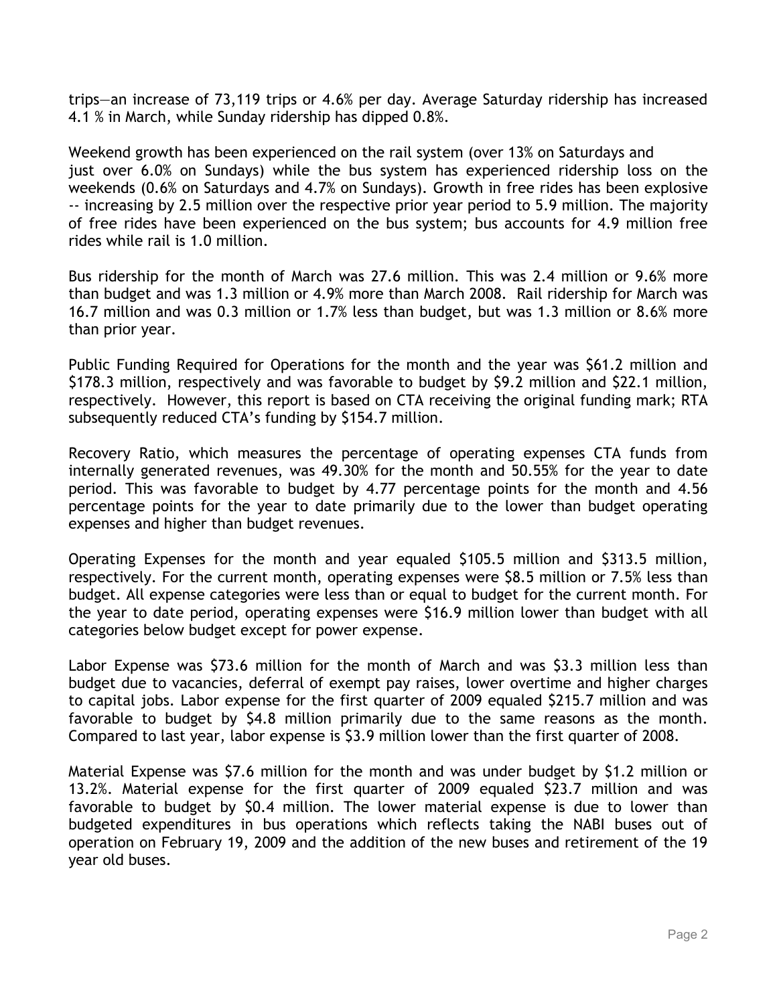trips—an increase of 73,119 trips or 4.6% per day. Average Saturday ridership has increased 4.1 % in March, while Sunday ridership has dipped 0.8%.

Weekend growth has been experienced on the rail system (over 13% on Saturdays and just over 6.0% on Sundays) while the bus system has experienced ridership loss on the weekends (0.6% on Saturdays and 4.7% on Sundays). Growth in free rides has been explosive -- increasing by 2.5 million over the respective prior year period to 5.9 million. The majority of free rides have been experienced on the bus system; bus accounts for 4.9 million free rides while rail is 1.0 million.

Bus ridership for the month of March was 27.6 million. This was 2.4 million or 9.6% more than budget and was 1.3 million or 4.9% more than March 2008. Rail ridership for March was 16.7 million and was 0.3 million or 1.7% less than budget, but was 1.3 million or 8.6% more than prior year.

Public Funding Required for Operations for the month and the year was \$61.2 million and \$178.3 million, respectively and was favorable to budget by \$9.2 million and \$22.1 million, respectively. However, this report is based on CTA receiving the original funding mark; RTA subsequently reduced CTA's funding by \$154.7 million.

Recovery Ratio, which measures the percentage of operating expenses CTA funds from internally generated revenues, was 49.30% for the month and 50.55% for the year to date period. This was favorable to budget by 4.77 percentage points for the month and 4.56 percentage points for the year to date primarily due to the lower than budget operating expenses and higher than budget revenues.

Operating Expenses for the month and year equaled \$105.5 million and \$313.5 million, respectively. For the current month, operating expenses were \$8.5 million or 7.5% less than budget. All expense categories were less than or equal to budget for the current month. For the year to date period, operating expenses were \$16.9 million lower than budget with all categories below budget except for power expense.

Labor Expense was \$73.6 million for the month of March and was \$3.3 million less than budget due to vacancies, deferral of exempt pay raises, lower overtime and higher charges to capital jobs. Labor expense for the first quarter of 2009 equaled \$215.7 million and was favorable to budget by \$4.8 million primarily due to the same reasons as the month. Compared to last year, labor expense is \$3.9 million lower than the first quarter of 2008.

Material Expense was \$7.6 million for the month and was under budget by \$1.2 million or 13.2%. Material expense for the first quarter of 2009 equaled \$23.7 million and was favorable to budget by \$0.4 million. The lower material expense is due to lower than budgeted expenditures in bus operations which reflects taking the NABI buses out of operation on February 19, 2009 and the addition of the new buses and retirement of the 19 year old buses.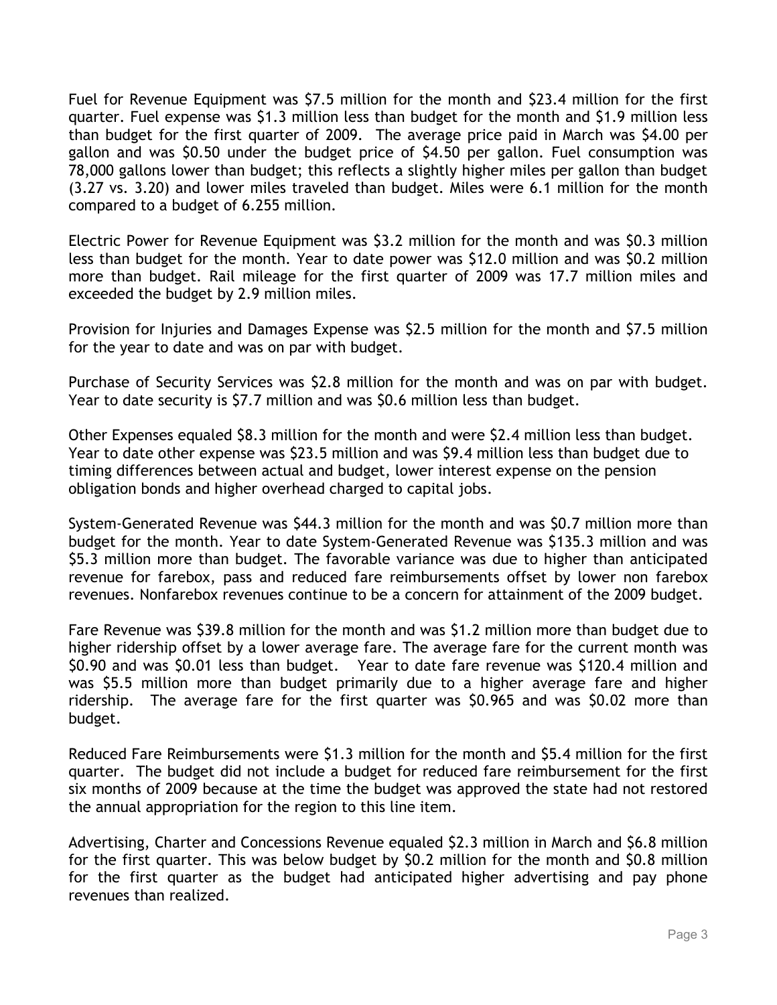Fuel for Revenue Equipment was \$7.5 million for the month and \$23.4 million for the first quarter. Fuel expense was \$1.3 million less than budget for the month and \$1.9 million less than budget for the first quarter of 2009. The average price paid in March was \$4.00 per gallon and was \$0.50 under the budget price of \$4.50 per gallon. Fuel consumption was 78,000 gallons lower than budget; this reflects a slightly higher miles per gallon than budget (3.27 vs. 3.20) and lower miles traveled than budget. Miles were 6.1 million for the month compared to a budget of 6.255 million.

Electric Power for Revenue Equipment was \$3.2 million for the month and was \$0.3 million less than budget for the month. Year to date power was \$12.0 million and was \$0.2 million more than budget. Rail mileage for the first quarter of 2009 was 17.7 million miles and exceeded the budget by 2.9 million miles.

Provision for Injuries and Damages Expense was \$2.5 million for the month and \$7.5 million for the year to date and was on par with budget.

Purchase of Security Services was \$2.8 million for the month and was on par with budget. Year to date security is \$7.7 million and was \$0.6 million less than budget.

Other Expenses equaled \$8.3 million for the month and were \$2.4 million less than budget. Year to date other expense was \$23.5 million and was \$9.4 million less than budget due to timing differences between actual and budget, lower interest expense on the pension obligation bonds and higher overhead charged to capital jobs.

System-Generated Revenue was \$44.3 million for the month and was \$0.7 million more than budget for the month. Year to date System-Generated Revenue was \$135.3 million and was \$5.3 million more than budget. The favorable variance was due to higher than anticipated revenue for farebox, pass and reduced fare reimbursements offset by lower non farebox revenues. Nonfarebox revenues continue to be a concern for attainment of the 2009 budget.

Fare Revenue was \$39.8 million for the month and was \$1.2 million more than budget due to higher ridership offset by a lower average fare. The average fare for the current month was \$0.90 and was \$0.01 less than budget. Year to date fare revenue was \$120.4 million and was \$5.5 million more than budget primarily due to a higher average fare and higher ridership. The average fare for the first quarter was \$0.965 and was \$0.02 more than budget.

Reduced Fare Reimbursements were \$1.3 million for the month and \$5.4 million for the first quarter. The budget did not include a budget for reduced fare reimbursement for the first six months of 2009 because at the time the budget was approved the state had not restored the annual appropriation for the region to this line item.

Advertising, Charter and Concessions Revenue equaled \$2.3 million in March and \$6.8 million for the first quarter. This was below budget by \$0.2 million for the month and \$0.8 million for the first quarter as the budget had anticipated higher advertising and pay phone revenues than realized.